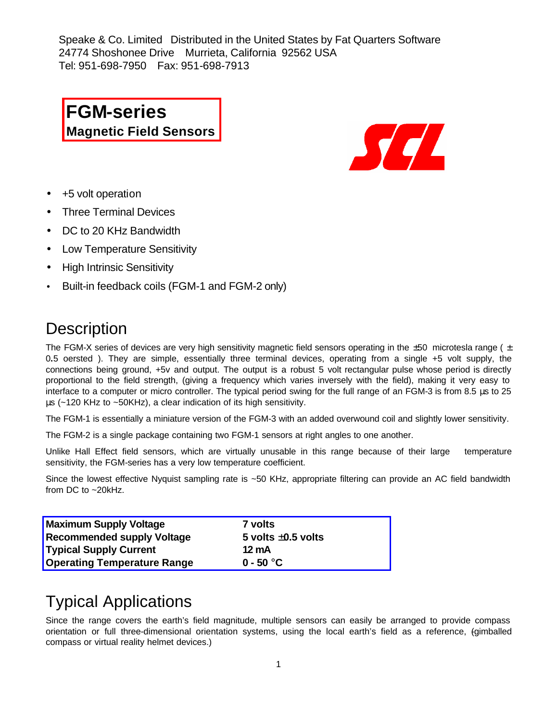Speake & Co. Limited Distributed in the United States by Fat Quarters Software 24774 Shoshonee Drive Murrieta, California 92562 USA Tel: 951-698-7950 Fax: 951-698-7913

**FGM-series Magnetic Field Sensors**



- +5 volt operation
- Three Terminal Devices
- DC to 20 KHz Bandwidth
- Low Temperature Sensitivity
- High Intrinsic Sensitivity
- Built-in feedback coils (FGM-1 and FGM-2 only)

# **Description**

The FGM-X series of devices are very high sensitivity magnetic field sensors operating in the ±50 microtesla range ( **±** 0**.**5 oersted ). They are simple, essentially three terminal devices, operating from a single +5 volt supply, the connections being ground, +5v and output. The output is a robust 5 volt rectangular pulse whose period is directly proportional to the field strength, (giving a frequency which varies inversely with the field), making it very easy to interface to a computer or micro controller. The typical period swing for the full range of an FGM-3 is from 8.5 μs to 25 μs (~120 KHz to ~50KHz), a clear indication of its high sensitivity.

The FGM-1 is essentially a miniature version of the FGM-3 with an added overwound coil and slightly lower sensitivity.

The FGM-2 is a single package containing two FGM-1 sensors at right angles to one another.

Unlike Hall Effect field sensors, which are virtually unusable in this range because of their large temperature sensitivity, the FGM-series has a very low temperature coefficient.

Since the lowest effective Nyquist sampling rate is ~50 KHz, appropriate filtering can provide an AC field bandwidth from DC to ~20kHz.

| <b>Maximum Supply Voltage</b>      | 7 volts                 |
|------------------------------------|-------------------------|
| <b>Recommended supply Voltage</b>  | 5 volts $\pm 0.5$ volts |
| <b>Typical Supply Current</b>      | 12 mA                   |
| <b>Operating Temperature Range</b> | $0 - 50 °C$             |

# Typical Applications

Since the range covers the earth's field magnitude, multiple sensors can easily be arranged to provide compass orientation or full three-dimensional orientation systems, using the local earth's field as a reference, (gimballed compass or virtual reality helmet devices.)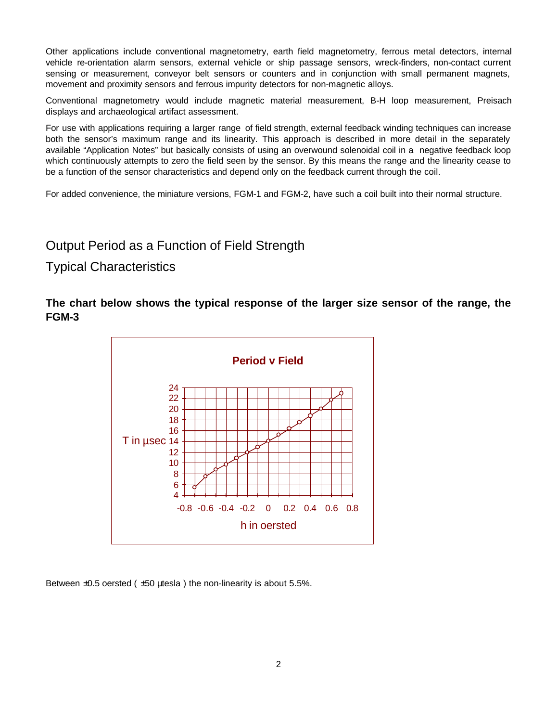Other applications include conventional magnetometry, earth field magnetometry, ferrous metal detectors, internal vehicle re-orientation alarm sensors, external vehicle or ship passage sensors, wreck-finders, non-contact current sensing or measurement, conveyor belt sensors or counters and in conjunction with small permanent magnets, movement and proximity sensors and ferrous impurity detectors for non-magnetic alloys.

Conventional magnetometry would include magnetic material measurement, B-H loop measurement, Preisach displays and archaeological artifact assessment.

For use with applications requiring a larger range of field strength, external feedback winding techniques can increase both the sensor's maximum range and its linearity. This approach is described in more detail in the separately available "Application Notes" but basically consists of using an overwound solenoidal coil in a negative feedback loop which continuously attempts to zero the field seen by the sensor. By this means the range and the linearity cease to be a function of the sensor characteristics and depend only on the feedback current through the coil.

For added convenience, the miniature versions, FGM-1 and FGM-2, have such a coil built into their normal structure.

# Output Period as a Function of Field Strength

#### Typical Characteristics

#### **The chart below shows the typical response of the larger size sensor of the range, the FGM-3**



Between  $\pm 0.5$  oersted ( $\pm 50$  µtesla) the non-linearity is about 5.5%.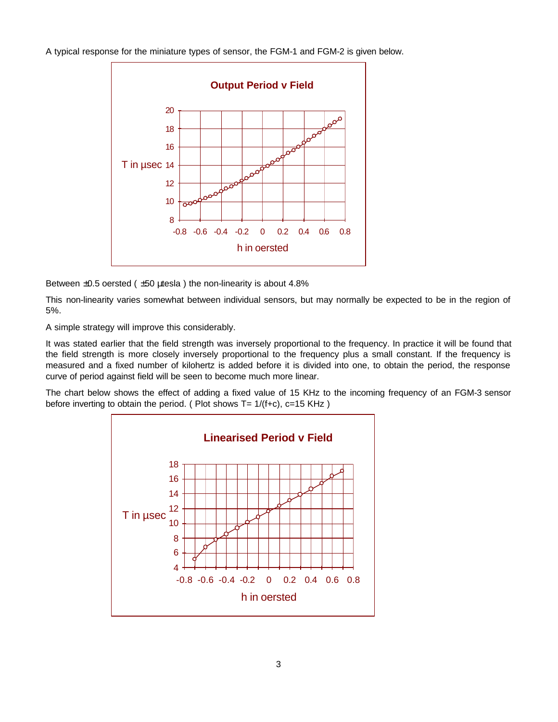A typical response for the miniature types of sensor, the FGM-1 and FGM-2 is given below.



Between  $\pm 0.5$  oersted ( $\pm 50$  utesla) the non-linearity is about 4.8%

This non-linearity varies somewhat between individual sensors, but may normally be expected to be in the region of 5%.

A simple strategy will improve this considerably.

It was stated earlier that the field strength was inversely proportional to the frequency. In practice it will be found that the field strength is more closely inversely proportional to the frequency plus a small constant. If the frequency is measured and a fixed number of kilohertz is added before it is divided into one, to obtain the period, the response curve of period against field will be seen to become much more linear.

The chart below shows the effect of adding a fixed value of 15 KHz to the incoming frequency of an FGM-3 sensor before inverting to obtain the period. ( Plot shows  $T = 1/(f+c)$ , c=15 KHz )

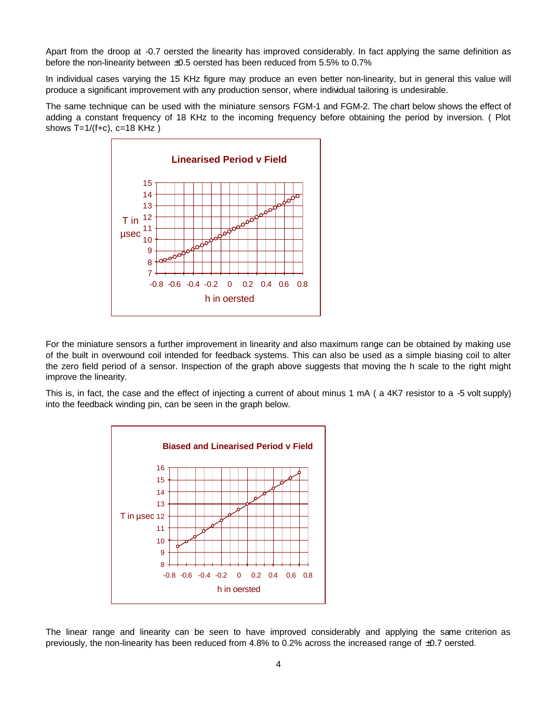Apart from the droop at -0.7 oersted the linearity has improved considerably. In fact applying the same definition as before the non-linearity between ±0.5 oersted has been reduced from 5.5% to 0.7%

In individual cases varying the 15 KHz figure may produce an even better non-linearity, but in general this value will produce a significant improvement with any production sensor, where individual tailoring is undesirable.

The same technique can be used with the miniature sensors FGM-1 and FGM-2. The chart below shows the effect of adding a constant frequency of 18 KHz to the incoming frequency before obtaining the period by inversion. ( Plot shows  $T=1/(f+c)$ ,  $c=18$  KHz )



For the miniature sensors a further improvement in linearity and also maximum range can be obtained by making use of the built in overwound coil intended for feedback systems. This can also be used as a simple biasing coil to alter the zero field period of a sensor. Inspection of the graph above suggests that moving the h scale to the right might improve the linearity.

This is, in fact, the case and the effect of injecting a current of about minus 1 mA ( a 4K7 resistor to a -5 volt supply) into the feedback winding pin, can be seen in the graph below.



The linear range and linearity can be seen to have improved considerably and applying the same criterion as previously, the non-linearity has been reduced from 4.8% to 0.2% across the increased range of ±0.7 oersted.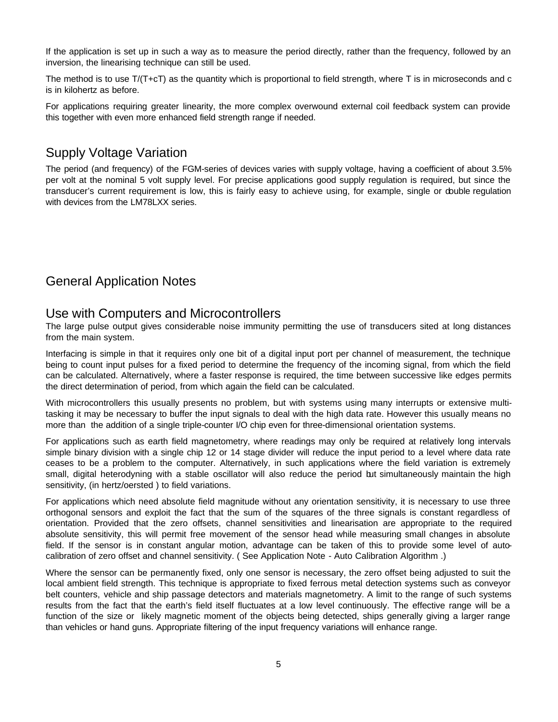If the application is set up in such a way as to measure the period directly, rather than the frequency, followed by an inversion, the linearising technique can still be used.

The method is to use  $T/(T+C)$  as the quantity which is proportional to field strength, where T is in microseconds and c is in kilohertz as before.

For applications requiring greater linearity, the more complex overwound external coil feedback system can provide this together with even more enhanced field strength range if needed.

# Supply Voltage Variation

The period (and frequency) of the FGM-series of devices varies with supply voltage, having a coefficient of about 3.5% per volt at the nominal 5 volt supply level. For precise applications good supply regulation is required, but since the transducer's current requirement is low, this is fairly easy to achieve using, for example, single or double regulation with devices from the LM78LXX series.

# General Application Notes

#### Use with Computers and Microcontrollers

The large pulse output gives considerable noise immunity permitting the use of transducers sited at long distances from the main system.

Interfacing is simple in that it requires only one bit of a digital input port per channel of measurement, the technique being to count input pulses for a fixed period to determine the frequency of the incoming signal, from which the field can be calculated. Alternatively, where a faster response is required, the time between successive like edges permits the direct determination of period, from which again the field can be calculated.

With microcontrollers this usually presents no problem, but with systems using many interrupts or extensive multitasking it may be necessary to buffer the input signals to deal with the high data rate. However this usually means no more than the addition of a single triple-counter I/O chip even for three-dimensional orientation systems.

For applications such as earth field magnetometry, where readings may only be required at relatively long intervals simple binary division with a single chip 12 or 14 stage divider will reduce the input period to a level where data rate ceases to be a problem to the computer. Alternatively, in such applications where the field variation is extremely small, digital heterodyning with a stable oscillator will also reduce the period but simultaneously maintain the high sensitivity, (in hertz/oersted ) to field variations.

For applications which need absolute field magnitude without any orientation sensitivity, it is necessary to use three orthogonal sensors and exploit the fact that the sum of the squares of the three signals is constant regardless of orientation. Provided that the zero offsets, channel sensitivities and linearisation are appropriate to the required absolute sensitivity, this will permit free movement of the sensor head while measuring small changes in absolute field. If the sensor is in constant angular motion, advantage can be taken of this to provide some level of autocalibration of zero offset and channel sensitivity. ( See Application Note - Auto Calibration Algorithm .)

Where the sensor can be permanently fixed, only one sensor is necessary, the zero offset being adjusted to suit the local ambient field strength. This technique is appropriate to fixed ferrous metal detection systems such as conveyor belt counters, vehicle and ship passage detectors and materials magnetometry. A limit to the range of such systems results from the fact that the earth's field itself fluctuates at a low level continuously. The effective range will be a function of the size or likely magnetic moment of the objects being detected, ships generally giving a larger range than vehicles or hand guns. Appropriate filtering of the input frequency variations will enhance range.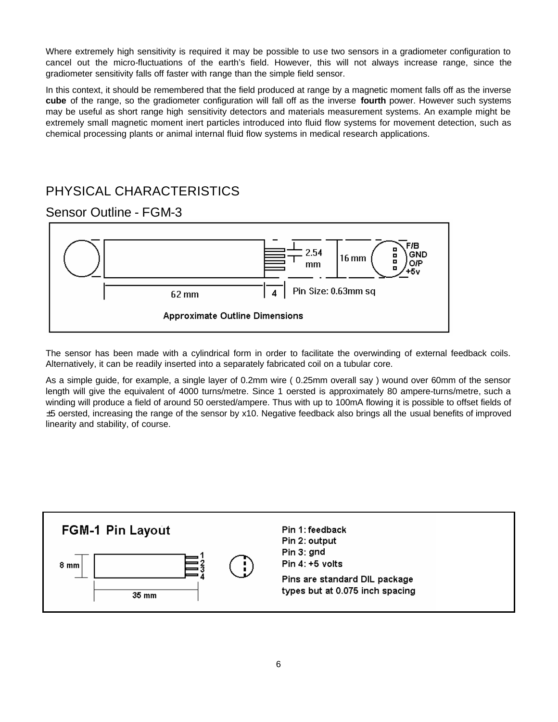Where extremely high sensitivity is required it may be possible to use two sensors in a gradiometer configuration to cancel out the micro-fluctuations of the earth's field. However, this will not always increase range, since the gradiometer sensitivity falls off faster with range than the simple field sensor.

In this context, it should be remembered that the field produced at range by a magnetic moment falls off as the inverse **cube** of the range, so the gradiometer configuration will fall off as the inverse **fourth** power. However such systems may be useful as short range high sensitivity detectors and materials measurement systems. An example might be extremely small magnetic moment inert particles introduced into fluid flow systems for movement detection, such as chemical processing plants or animal internal fluid flow systems in medical research applications.

# PHYSICAL CHARACTERISTICS

### Sensor Outline - FGM-3



The sensor has been made with a cylindrical form in order to facilitate the overwinding of external feedback coils. Alternatively, it can be readily inserted into a separately fabricated coil on a tubular core.

As a simple guide, for example, a single layer of 0.2mm wire ( 0.25mm overall say ) wound over 60mm of the sensor length will give the equivalent of 4000 turns/metre. Since 1 oersted is approximately 80 ampere-turns/metre, such a winding will produce a field of around 50 oersted/ampere. Thus with up to 100mA flowing it is possible to offset fields of ±5 oersted, increasing the range of the sensor by x10. Negative feedback also brings all the usual benefits of improved linearity and stability, of course.